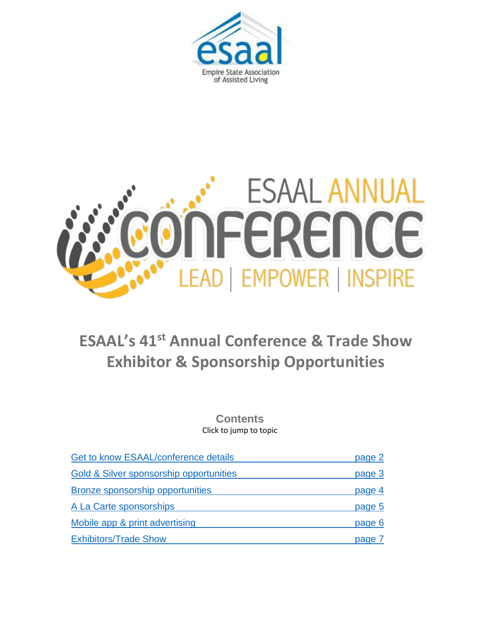



### **ESAAL's 41 st Annual Conference & Trade Show Exhibitor & Sponsorship Opportunities**

**Contents** Click to jump to topic

<span id="page-0-0"></span>

| Get to know ESAAL/conference details    | page 2 |
|-----------------------------------------|--------|
| Gold & Silver sponsorship opportunities | page 3 |
| <b>Bronze sponsorship opportunities</b> | page 4 |
| A La Carte sponsorships                 | page 5 |
| Mobile app & print advertising          | page 6 |
| <b>Exhibitors/Trade Show</b>            | page   |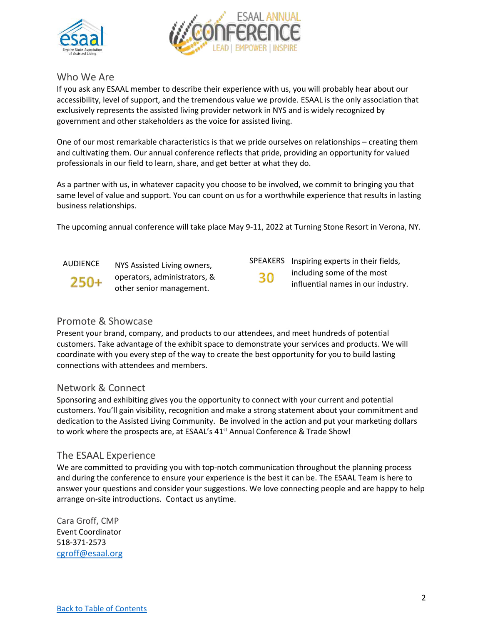



#### <span id="page-1-0"></span>Who We Are

If you ask any ESAAL member to describe their experience with us, you will probably hear about our accessibility, level of support, and the tremendous value we provide. ESAAL is the only association that exclusively represents the assisted living provider network in NYS and is widely recognized by government and other stakeholders as the voice for assisted living.

One of our most remarkable characteristics is that we pride ourselves on relationships – creating them and cultivating them. Our annual conference reflects that pride, providing an opportunity for valued professionals in our field to learn, share, and get better at what they do.

As a partner with us, in whatever capacity you choose to be involved, we commit to bringing you that same level of value and support. You can count on us for a worthwhile experience that results in lasting business relationships.

The upcoming annual conference will take place May 9-11, 2022 at Turning Stone Resort in Verona, NY.

250+

AUDIENCE NYS Assisted Living owners, SPEAKERS operators, administrators, & other senior management.

SPEAKERS Inspiring experts in their fields, 30

including some of the most influential names in our industry.

#### Promote & Showcase

Present your brand, company, and products to our attendees, and meet hundreds of potential customers. Take advantage of the exhibit space to demonstrate your services and products. We will coordinate with you every step of the way to create the best opportunity for you to build lasting connections with attendees and members.

#### Network & Connect

Sponsoring and exhibiting gives you the opportunity to connect with your current and potential customers. You'll gain visibility, recognition and make a strong statement about your commitment and dedication to the Assisted Living Community. Be involved in the action and put your marketing dollars to work where the prospects are, at ESAAL's 41<sup>st</sup> Annual Conference & Trade Show!

#### The ESAAL Experience

We are committed to providing you with top-notch communication throughout the planning process and during the conference to ensure your experience is the best it can be. The ESAAL Team is here to answer your questions and consider your suggestions. We love connecting people and are happy to help arrange on-site introductions. Contact us anytime.

Cara Groff, CMP Event Coordinator 518-371-2573 [cgroff@esaal.org](mailto:cgroff@esaal.org)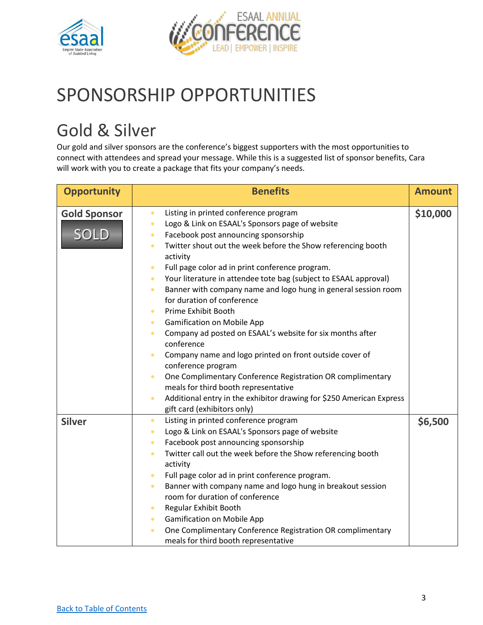



# SPONSORSHIP OPPORTUNITIES

# <span id="page-2-0"></span>Gold & Silver

Our gold and silver sponsors are the conference's biggest supporters with the most opportunities to connect with attendees and spread your message. While this is a suggested list of sponsor benefits, Cara will work with you to create a package that fits your company's needs.

| <b>Opportunity</b>                 | <b>Benefits</b>                                                                                                                                                                                                                                                                                                                                                                                                                                                                                                                                                                                                                                                                                                                                                                                                                                                                                                                                                                                                                      | <b>Amount</b> |
|------------------------------------|--------------------------------------------------------------------------------------------------------------------------------------------------------------------------------------------------------------------------------------------------------------------------------------------------------------------------------------------------------------------------------------------------------------------------------------------------------------------------------------------------------------------------------------------------------------------------------------------------------------------------------------------------------------------------------------------------------------------------------------------------------------------------------------------------------------------------------------------------------------------------------------------------------------------------------------------------------------------------------------------------------------------------------------|---------------|
| <b>Gold Sponsor</b><br><b>SOLD</b> | Listing in printed conference program<br>$\bullet$<br>Logo & Link on ESAAL's Sponsors page of website<br>$\bullet$<br>Facebook post announcing sponsorship<br>$\bullet$<br>Twitter shout out the week before the Show referencing booth<br>$\bullet$<br>activity<br>Full page color ad in print conference program.<br>$\bullet$<br>Your literature in attendee tote bag (subject to ESAAL approval)<br>$\bullet$<br>Banner with company name and logo hung in general session room<br>$\bullet$<br>for duration of conference<br>Prime Exhibit Booth<br>$\bullet$<br><b>Gamification on Mobile App</b><br>$\bullet$<br>Company ad posted on ESAAL's website for six months after<br>$\bullet$<br>conference<br>Company name and logo printed on front outside cover of<br>conference program<br>One Complimentary Conference Registration OR complimentary<br>$\bullet$<br>meals for third booth representative<br>Additional entry in the exhibitor drawing for \$250 American Express<br>$\bullet$<br>gift card (exhibitors only) | \$10,000      |
| <b>Silver</b>                      | Listing in printed conference program<br>$\bullet$<br>Logo & Link on ESAAL's Sponsors page of website<br>$\bullet$<br>Facebook post announcing sponsorship<br>$\bullet$<br>Twitter call out the week before the Show referencing booth<br>$\bullet$<br>activity<br>Full page color ad in print conference program.<br>$\bullet$<br>Banner with company name and logo hung in breakout session<br>$\bullet$<br>room for duration of conference<br>Regular Exhibit Booth<br>$\bullet$<br><b>Gamification on Mobile App</b><br>$\bullet$<br>One Complimentary Conference Registration OR complimentary<br>$\bullet$<br>meals for third booth representative                                                                                                                                                                                                                                                                                                                                                                             | \$6,500       |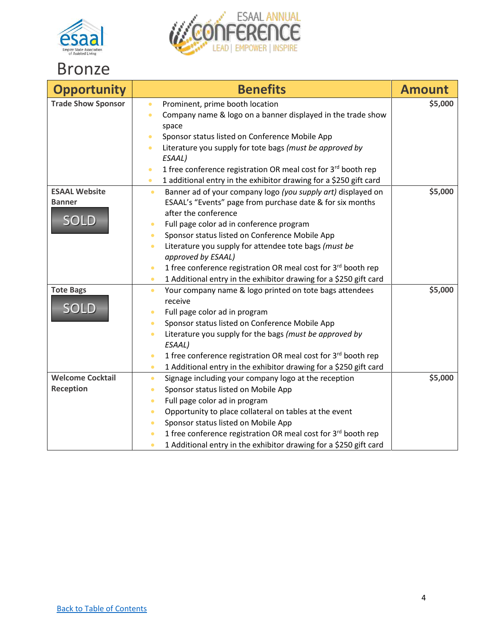



### <span id="page-3-0"></span>Bronze

| <b>Opportunity</b>                                   | <b>Benefits</b>                                                                                                                                                                                                                                                                                                                                                                                                                                                                                                                                                                                                                      | <b>Amount</b> |
|------------------------------------------------------|--------------------------------------------------------------------------------------------------------------------------------------------------------------------------------------------------------------------------------------------------------------------------------------------------------------------------------------------------------------------------------------------------------------------------------------------------------------------------------------------------------------------------------------------------------------------------------------------------------------------------------------|---------------|
| <b>Trade Show Sponsor</b>                            | Prominent, prime booth location<br>$\bullet$<br>Company name & logo on a banner displayed in the trade show<br>$\bullet$<br>space<br>Sponsor status listed on Conference Mobile App<br>Literature you supply for tote bags (must be approved by<br>$\bullet$<br>ESAAL)<br>1 free conference registration OR meal cost for 3rd booth rep<br>$\bullet$                                                                                                                                                                                                                                                                                 | \$5,000       |
| <b>ESAAL Website</b><br><b>Banner</b><br><b>SOLD</b> | 1 additional entry in the exhibitor drawing for a \$250 gift card<br>$\bullet$<br>Banner ad of your company logo (you supply art) displayed on<br>$\bullet$<br>ESAAL's "Events" page from purchase date & for six months<br>after the conference<br>Full page color ad in conference program<br>$\bullet$<br>Sponsor status listed on Conference Mobile App<br>$\bullet$<br>Literature you supply for attendee tote bags (must be<br>$\bullet$<br>approved by ESAAL)<br>1 free conference registration OR meal cost for 3rd booth rep<br>$\bullet$<br>1 Additional entry in the exhibitor drawing for a \$250 gift card<br>$\bullet$ | \$5,000       |
| <b>Tote Bags</b><br><b>SOLD</b>                      | Your company name & logo printed on tote bags attendees<br>$\bullet$<br>receive<br>Full page color ad in program<br>Sponsor status listed on Conference Mobile App<br>$\bullet$<br>Literature you supply for the bags (must be approved by<br>$\bullet$<br>ESAAL)<br>1 free conference registration OR meal cost for 3rd booth rep<br>$\bullet$<br>1 Additional entry in the exhibitor drawing for a \$250 gift card<br>$\bullet$                                                                                                                                                                                                    | \$5,000       |
| <b>Welcome Cocktail</b><br><b>Reception</b>          | Signage including your company logo at the reception<br>$\bullet$<br>Sponsor status listed on Mobile App<br>$\bullet$<br>Full page color ad in program<br>$\bullet$<br>Opportunity to place collateral on tables at the event<br>$\bullet$<br>Sponsor status listed on Mobile App<br>$\bullet$<br>1 free conference registration OR meal cost for 3rd booth rep<br>$\bullet$<br>1 Additional entry in the exhibitor drawing for a \$250 gift card<br>$\bullet$                                                                                                                                                                       | \$5,000       |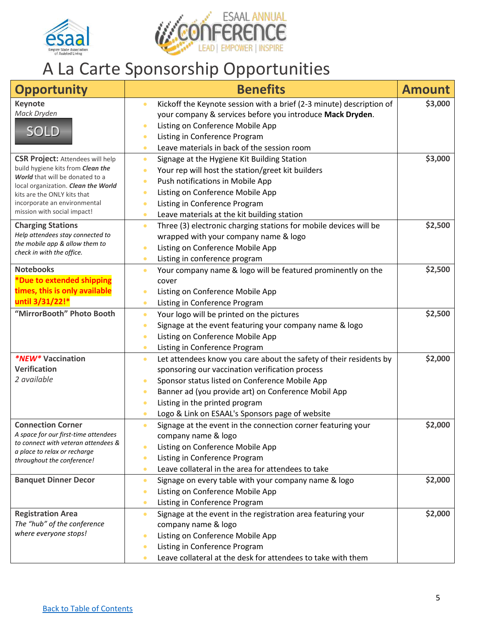



### <span id="page-4-0"></span>A La Carte Sponsorship Opportunities

| <b>Opportunity</b>                                                   | <b>Benefits</b>                                                                   | <b>Amount</b> |
|----------------------------------------------------------------------|-----------------------------------------------------------------------------------|---------------|
| <b>Keynote</b>                                                       | Kickoff the Keynote session with a brief (2-3 minute) description of<br>$\bullet$ | \$3,000       |
| Mack Dryden                                                          | your company & services before you introduce Mack Dryden.                         |               |
| <b>SOLD</b>                                                          | Listing on Conference Mobile App<br>$\bullet$                                     |               |
|                                                                      | Listing in Conference Program<br>$\bullet$                                        |               |
|                                                                      | Leave materials in back of the session room<br>$\bullet$                          |               |
| <b>CSR Project: Attendees will help</b>                              | Signage at the Hygiene Kit Building Station<br>$\bullet$                          | \$3,000       |
| build hygiene kits from Clean the<br>World that will be donated to a | Your rep will host the station/greet kit builders<br>$\bullet$                    |               |
| local organization. Clean the World                                  | Push notifications in Mobile App<br>$\bullet$                                     |               |
| kits are the ONLY kits that                                          | Listing on Conference Mobile App<br>$\bullet$                                     |               |
| incorporate an environmental                                         | Listing in Conference Program<br>$\bullet$                                        |               |
| mission with social impact!                                          | Leave materials at the kit building station<br>$\bullet$                          |               |
| <b>Charging Stations</b>                                             | Three (3) electronic charging stations for mobile devices will be<br>$\bullet$    | \$2,500       |
| Help attendees stay connected to                                     | wrapped with your company name & logo                                             |               |
| the mobile app & allow them to<br>check in with the office.          | Listing on Conference Mobile App<br>$\bullet$                                     |               |
|                                                                      | Listing in conference program<br>$\bullet$                                        |               |
| <b>Notebooks</b>                                                     | Your company name & logo will be featured prominently on the<br>$\bullet$         | \$2,500       |
| *Due to extended shipping                                            | cover                                                                             |               |
| times, this is only available                                        | Listing on Conference Mobile App<br>$\bullet$                                     |               |
| until 3/31/22!*                                                      | Listing in Conference Program<br>$\bullet$                                        |               |
| "MirrorBooth" Photo Booth                                            | Your logo will be printed on the pictures<br>$\bullet$                            | \$2,500       |
|                                                                      | Signage at the event featuring your company name & logo<br>$\bullet$              |               |
|                                                                      | Listing on Conference Mobile App<br>$\bullet$                                     |               |
|                                                                      | Listing in Conference Program<br>$\bullet$                                        |               |
| <i><b>*NEW*</b></i> Vaccination                                      | Let attendees know you care about the safety of their residents by<br>$\bullet$   | \$2,000       |
| <b>Verification</b>                                                  | sponsoring our vaccination verification process                                   |               |
| 2 available                                                          | Sponsor status listed on Conference Mobile App<br>$\bullet$                       |               |
|                                                                      | Banner ad (you provide art) on Conference Mobil App<br>$\bullet$                  |               |
|                                                                      | Listing in the printed program<br>$\bullet$                                       |               |
|                                                                      | Logo & Link on ESAAL's Sponsors page of website<br>$\bullet$                      |               |
| <b>Connection Corner</b>                                             | Signage at the event in the connection corner featuring your<br>$\bullet$         | \$2,000       |
| A space for our first-time attendees                                 | company name & logo                                                               |               |
| to connect with veteran attendees &                                  | Listing on Conference Mobile App<br>$\bullet$                                     |               |
| a place to relax or recharge<br>throughout the conference!           | Listing in Conference Program<br>$\bullet$                                        |               |
|                                                                      | Leave collateral in the area for attendees to take<br>$\bullet$                   |               |
| <b>Banquet Dinner Decor</b>                                          | Signage on every table with your company name & logo<br>$\bullet$                 | \$2,000       |
|                                                                      | Listing on Conference Mobile App<br>$\bullet$                                     |               |
|                                                                      | Listing in Conference Program<br>$\bullet$                                        |               |
| <b>Registration Area</b>                                             | Signage at the event in the registration area featuring your<br>$\bullet$         | \$2,000       |
| The "hub" of the conference                                          | company name & logo                                                               |               |
| where everyone stops!                                                | Listing on Conference Mobile App<br>$\bullet$                                     |               |
|                                                                      | Listing in Conference Program<br>$\bullet$                                        |               |
|                                                                      | Leave collateral at the desk for attendees to take with them<br>$\bullet$         |               |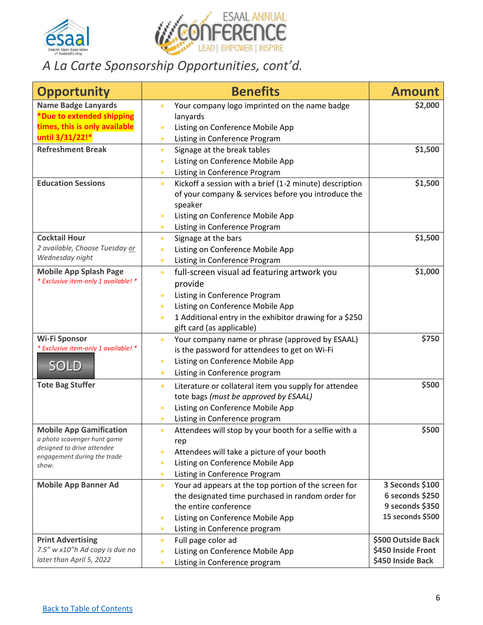



### *A La Carte Sponsorship Opportunities, cont'd.*

<span id="page-5-0"></span>

| <b>Opportunity</b>                                         | <b>Benefits</b>                                                      | <b>Amount</b>                       |
|------------------------------------------------------------|----------------------------------------------------------------------|-------------------------------------|
| <b>Name Badge Lanyards</b>                                 | Your company logo imprinted on the name badge<br>$\bullet$           | \$2,000                             |
| *Due to extended shipping                                  | lanyards                                                             |                                     |
| times, this is only available                              | Listing on Conference Mobile App                                     |                                     |
| until 3/31/22!*                                            | Listing in Conference Program<br>$\bullet$                           |                                     |
| <b>Refreshment Break</b>                                   | Signage at the break tables<br>$\bullet$                             | \$1,500                             |
|                                                            | Listing on Conference Mobile App<br>$\bullet$                        |                                     |
|                                                            | Listing in Conference Program<br>$\bullet$                           |                                     |
| <b>Education Sessions</b>                                  | Kickoff a session with a brief (1-2 minute) description<br>$\bullet$ | \$1,500                             |
|                                                            | of your company & services before you introduce the<br>speaker       |                                     |
|                                                            | Listing on Conference Mobile App<br>$\bullet$                        |                                     |
|                                                            | Listing in Conference Program<br>$\bullet$                           |                                     |
| <b>Cocktail Hour</b>                                       | Signage at the bars<br>$\bullet$                                     | \$1,500                             |
| 2 available, Choose Tuesday or                             | Listing on Conference Mobile App<br>$\bullet$                        |                                     |
| Wednesday night                                            | Listing in Conference Program<br>$\bullet$                           |                                     |
| <b>Mobile App Splash Page</b>                              | full-screen visual ad featuring artwork you<br>$\bullet$             | \$1,000                             |
| * Exclusive item-only 1 available! *                       | provide                                                              |                                     |
|                                                            | Listing in Conference Program<br>$\bullet$                           |                                     |
|                                                            | Listing on Conference Mobile App<br>$\bullet$                        |                                     |
|                                                            | 1 Additional entry in the exhibitor drawing for a \$250<br>$\bullet$ |                                     |
|                                                            | gift card (as applicable)                                            |                                     |
| <b>Wi-Fi Sponsor</b>                                       | Your company name or phrase (approved by ESAAL)<br>$\bullet$         | \$750                               |
| * Exclusive item-only 1 available! *                       | is the password for attendees to get on Wi-Fi                        |                                     |
|                                                            | Listing on Conference Mobile App<br>$\bullet$                        |                                     |
| <b>SOLD</b>                                                | Listing in Conference program<br>$\bullet$                           |                                     |
| <b>Tote Bag Stuffer</b>                                    | Literature or collateral item you supply for attendee<br>$\bullet$   | \$500                               |
|                                                            | tote bags (must be approved by ESAAL)                                |                                     |
|                                                            | Listing on Conference Mobile App<br>$\bullet$                        |                                     |
|                                                            | Listing in Conference program<br>$\bullet$                           |                                     |
| <b>Mobile App Gamification</b>                             | Attendees will stop by your booth for a selfie with a<br>$\bullet$   | \$500                               |
| a photo scavenger hunt game<br>designed to drive attendee  | rep                                                                  |                                     |
| engagement during the trade                                | Attendees will take a picture of your booth                          |                                     |
| show.                                                      | Listing on Conference Mobile App<br>$\bullet$                        |                                     |
|                                                            | Listing in Conference Program<br>$\bullet$                           |                                     |
| <b>Mobile App Banner Ad</b>                                | Your ad appears at the top portion of the screen for<br>$\bullet$    | 3 Seconds \$100                     |
|                                                            | the designated time purchased in random order for                    | 6 seconds \$250                     |
|                                                            | the entire conference                                                | 9 seconds \$350<br>15 seconds \$500 |
|                                                            | Listing on Conference Mobile App<br>$\bullet$                        |                                     |
|                                                            | Listing in Conference program<br>$\bullet$                           | \$500 Outside Back                  |
| <b>Print Advertising</b><br>7.5" w x10"h Ad copy is due no | Full page color ad<br>$\bullet$                                      | \$450 Inside Front                  |
| later than April 5, 2022                                   | Listing on Conference Mobile App<br>$\bullet$                        | \$450 Inside Back                   |
|                                                            | Listing in Conference program<br>$\bullet$                           |                                     |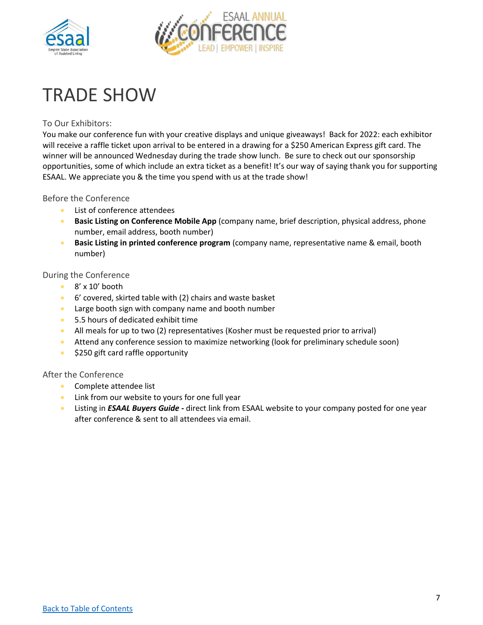



# <span id="page-6-0"></span>TRADE SHOW

#### To Our Exhibitors:

You make our conference fun with your creative displays and unique giveaways! Back for 2022: each exhibitor will receive a raffle ticket upon arrival to be entered in a drawing for a \$250 American Express gift card. The winner will be announced Wednesday during the trade show lunch. Be sure to check out our sponsorship opportunities, some of which include an extra ticket as a benefit! It's our way of saying thank you for supporting ESAAL. We appreciate you & the time you spend with us at the trade show!

#### Before the Conference

- List of conference attendees
- **Basic Listing on Conference Mobile App** (company name, brief description, physical address, phone number, email address, booth number)
- **Basic Listing in printed conference program** (company name, representative name & email, booth number)

#### During the Conference

- 8' x 10' booth
- 6' covered, skirted table with (2) chairs and waste basket
- Large booth sign with company name and booth number
- 5.5 hours of dedicated exhibit time
- All meals for up to two (2) representatives (Kosher must be requested prior to arrival)
- Attend any conference session to maximize networking (look for preliminary schedule soon)
- \$250 gift card raffle opportunity

#### After the Conference

- Complete attendee list
- Link from our website to yours for one full year
- Listing in *ESAAL Buyers Guide -* direct link from ESAAL website to your company posted for one year after conference & sent to all attendees via email.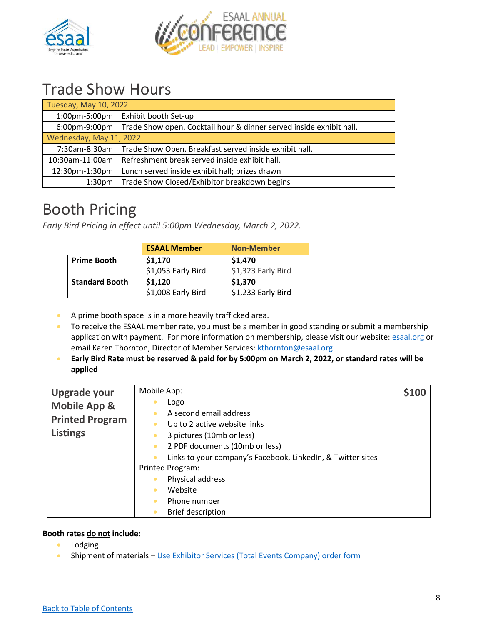



### Trade Show Hours

| Tuesday, May 10, 2022   |                                                                     |  |
|-------------------------|---------------------------------------------------------------------|--|
| 1:00pm-5:00pm           | Exhibit booth Set-up                                                |  |
| $6:00$ pm-9:00pm        | Trade Show open. Cocktail hour & dinner served inside exhibit hall. |  |
| Wednesday, May 11, 2022 |                                                                     |  |
| 7:30am-8:30am           | Trade Show Open. Breakfast served inside exhibit hall.              |  |
| 10:30am-11:00am         | Refreshment break served inside exhibit hall.                       |  |
| 12:30pm-1:30pm          | Lunch served inside exhibit hall; prizes drawn                      |  |
| 1:30 <sub>pm</sub>      | Trade Show Closed/Exhibitor breakdown begins                        |  |

### Booth Pricing

*Early Bird Pricing in effect until 5:00pm Wednesday, March 2, 2022.*

|                       | <b>ESAAL Member</b> | <b>Non-Member</b>  |
|-----------------------|---------------------|--------------------|
| <b>Prime Booth</b>    | \$1,170             | \$1,470            |
|                       | \$1,053 Early Bird  | \$1,323 Early Bird |
| <b>Standard Booth</b> | \$1,120             | \$1,370            |
|                       | \$1,008 Early Bird  | \$1,233 Early Bird |

- A prime booth space is in a more heavily trafficked area.
- To receive the ESAAL member rate, you must be a member in good standing or submit a membership application with payment. For more information on membership, please visit our website: [esaal.org](https://www.esaal.org/) or email Karen Thornton, Director of Member Services: [kthornton@esaal.org](mailto:kthornton@esaal.org)
- **Early Bird Rate must be reserved & paid for by 5:00pm on March 2, 2022, or standard rates will be applied**

| <b>Upgrade your</b>     | Mobile App:                                                 | \$100 |
|-------------------------|-------------------------------------------------------------|-------|
| <b>Mobile App &amp;</b> | Logo                                                        |       |
| <b>Printed Program</b>  | A second email address                                      |       |
|                         | Up to 2 active website links                                |       |
| <b>Listings</b>         | 3 pictures (10mb or less)                                   |       |
|                         | 2 PDF documents (10mb or less)                              |       |
|                         | Links to your company's Facebook, LinkedIn, & Twitter sites |       |
|                         | Printed Program:                                            |       |
|                         | Physical address                                            |       |
|                         | Website                                                     |       |
|                         | Phone number                                                |       |
|                         | <b>Brief description</b>                                    |       |

#### **Booth rates do not include:**

- Lodging
- Shipment of materials [Use Exhibitor Services \(Total Events Company\) order form](https://esaal.memberclicks.net/assets/docs/2022-Conference/Exhibitor%20Trade%20Show%20%26%20Power%20order%20form%20TE%202022.pdf)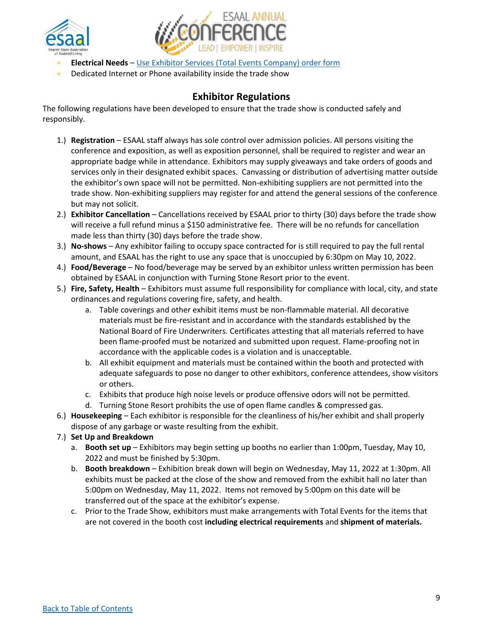



- **Electrical Needs** [Use Exhibitor Services \(Total Events Company\) order form](https://esaal.memberclicks.net/assets/docs/2022-Conference/Exhibitor%20Trade%20Show%20%26%20Power%20order%20form%20TE%202022.pdf)
- Dedicated Internet or Phone availability inside the trade show

#### **Exhibitor Regulations**

The following regulations have been developed to ensure that the trade show is conducted safely and responsibly.

- 1.) **Registration**  ESAAL staff always has sole control over admission policies. All persons visiting the conference and exposition, as well as exposition personnel, shall be required to register and wear an appropriate badge while in attendance. Exhibitors may supply giveaways and take orders of goods and services only in their designated exhibit spaces. Canvassing or distribution of advertising matter outside the exhibitor's own space will not be permitted. Non-exhibiting suppliers are not permitted into the trade show. Non-exhibiting suppliers may register for and attend the general sessions of the conference but may not solicit.
- 2.) **Exhibitor Cancellation** Cancellations received by ESAAL prior to thirty (30) days before the trade show will receive a full refund minus a \$150 administrative fee. There will be no refunds for cancellation made less than thirty (30) days before the trade show.
- 3.) **No-shows** Any exhibitor failing to occupy space contracted for is still required to pay the full rental amount, and ESAAL has the right to use any space that is unoccupied by 6:30pm on May 10, 2022.
- 4.) **Food/Beverage** No food/beverage may be served by an exhibitor unless written permission has been obtained by ESAAL in conjunction with Turning Stone Resort prior to the event.
- 5.) **Fire, Safety, Health** Exhibitors must assume full responsibility for compliance with local, city, and state ordinances and regulations covering fire, safety, and health.
	- a. Table coverings and other exhibit items must be non-flammable material. All decorative materials must be fire-resistant and in accordance with the standards established by the National Board of Fire Underwriters. Certificates attesting that all materials referred to have been flame-proofed must be notarized and submitted upon request. Flame-proofing not in accordance with the applicable codes is a violation and is unacceptable.
	- b. All exhibit equipment and materials must be contained within the booth and protected with adequate safeguards to pose no danger to other exhibitors, conference attendees, show visitors or others.
	- c. Exhibits that produce high noise levels or produce offensive odors will not be permitted.
	- d. Turning Stone Resort prohibits the use of open flame candles & compressed gas.
- 6.) **Housekeeping** Each exhibitor is responsible for the cleanliness of his/her exhibit and shall properly dispose of any garbage or waste resulting from the exhibit.
- 7.) **Set Up and Breakdown**
	- a. **Booth set up**  Exhibitors may begin setting up booths no earlier than 1:00pm, Tuesday, May 10, 2022 and must be finished by 5:30pm.
	- b. **Booth breakdown** Exhibition break down will begin on Wednesday, May 11, 2022 at 1:30pm. All exhibits must be packed at the close of the show and removed from the exhibit hall no later than 5:00pm on Wednesday, May 11, 2022. Items not removed by 5:00pm on this date will be transferred out of the space at the exhibitor's expense.
	- c. Prior to the Trade Show, exhibitors must make arrangements with Total Events for the items that are not covered in the booth cost **including electrical requirements** and **shipment of materials.**